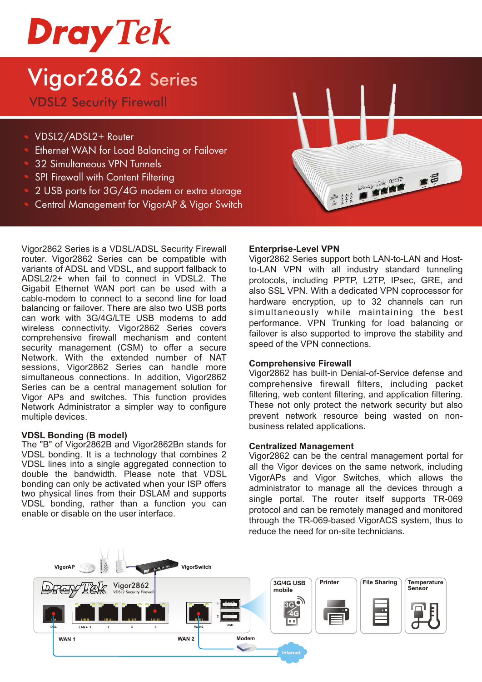# **Dray Tek**

## Vigor2862 Series

VDSL2 Security Firewall

- VDSL2/ADSL2+ Router
- Ethernet WAN for Load Balancing or Failover
- 32 Simultaneous VPN Tunnels
- SPI Firewall with Content Filtering
- 2 USB ports for 3G/4G modem or extra storage
- Central Management for VigorAP & Vigor Switch

Vigor2862 Series is a VDSL/ADSL Security Firewall router. Vigor2862 Series can be compatible with variants of ADSL and VDSL, and support fallback to ADSL2/2+ when fail to connect in VDSL2. The Gigabit Ethernet WAN port can be used with a cable-modem to connect to a second line for load balancing or failover. There are also two USB ports can work with 3G/4G/LTE USB modems to add wireless connectivity. Vigor2862 Series covers comprehensive firewall mechanism and content security management (CSM) to offer a secure Network. With the extended number of NAT sessions, Vigor2862 Series can handle more simultaneous connections. In addition, Vigor2862 Series can be a central management solution for Vigor APs and switches. This function provides Network Administrator a simpler way to configure multiple devices.

#### **VDSL Bonding (B model)**

The "B" of Vigor2862B and Vigor2862Bn stands for VDSL bonding. It is a technology that combines 2 VDSL lines into a single aggregated connection to double the bandwidth. Please note that VDSL bonding can only be activated when your ISP offers two physical lines from their DSLAM and supports VDSL bonding, rather than a function you can enable or disable on the user interface.



#### **Enterprise-Level VPN**

Vigor2862 Series support both LAN-to-LAN and Hostto-LAN VPN with all industry standard tunneling protocols, including PPTP, L2TP, IPsec, GRE, and also SSL VPN. With a dedicated VPN coprocessor for hardware encryption, up to 32 channels can run simultaneously while maintaining the best performance. VPN Trunking for load balancing or failover is also supported to improve the stability and speed of the VPN connections.

#### **Comprehensive Firewall**

Vigor2862 has built-in Denial-of-Service defense and comprehensive firewall filters, including packet filtering, web content filtering, and application filtering. These not only protect the network security but also prevent network resource being wasted on nonbusiness related applications.

#### **Centralized Management**

Vigor2862 can be the central management portal for all the Vigor devices on the same network, including VigorAPs and Vigor Switches, which allows the administrator to manage all the devices through a single portal. The router itself supports TR-069 protocol and can be remotely managed and monitored through the TR-069-based VigorACS system, thus to reduce the need for on-site technicians.